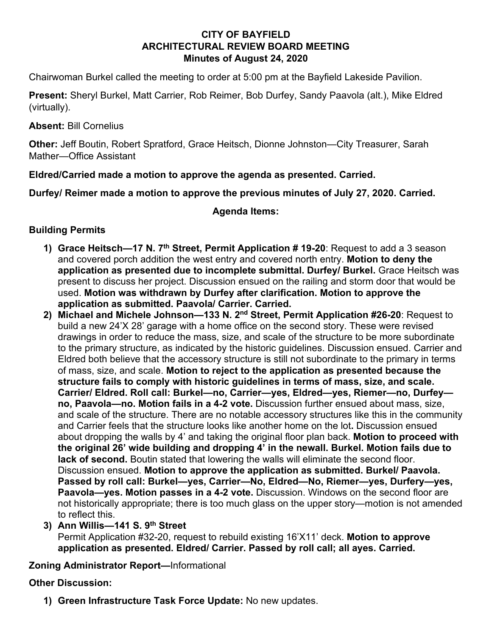## **CITY OF BAYFIELD ARCHITECTURAL REVIEW BOARD MEETING Minutes of August 24, 2020**

Chairwoman Burkel called the meeting to order at 5:00 pm at the Bayfield Lakeside Pavilion.

**Present:** Sheryl Burkel, Matt Carrier, Rob Reimer, Bob Durfey, Sandy Paavola (alt.), Mike Eldred (virtually).

**Absent:** Bill Cornelius

**Other:** Jeff Boutin, Robert Spratford, Grace Heitsch, Dionne Johnston—City Treasurer, Sarah Mather—Office Assistant

**Eldred/Carried made a motion to approve the agenda as presented. Carried.** 

**Durfey/ Reimer made a motion to approve the previous minutes of July 27, 2020. Carried.** 

**Agenda Items:**

## **Building Permits**

- **1) Grace Heitsch—17 N. 7th Street, Permit Application # 19-20**: Request to add a 3 season and covered porch addition the west entry and covered north entry. **Motion to deny the application as presented due to incomplete submittal. Durfey/ Burkel.** Grace Heitsch was present to discuss her project. Discussion ensued on the railing and storm door that would be used. **Motion was withdrawn by Durfey after clarification. Motion to approve the application as submitted. Paavola/ Carrier. Carried.**
- **2) Michael and Michele Johnson—133 N. 2nd Street, Permit Application #26-20**: Request to build a new 24'X 28' garage with a home office on the second story. These were revised drawings in order to reduce the mass, size, and scale of the structure to be more subordinate to the primary structure, as indicated by the historic guidelines. Discussion ensued. Carrier and Eldred both believe that the accessory structure is still not subordinate to the primary in terms of mass, size, and scale. **Motion to reject to the application as presented because the structure fails to comply with historic guidelines in terms of mass, size, and scale. Carrier/ Eldred. Roll call: Burkel—no, Carrier—yes, Eldred—yes, Riemer—no, Durfey no, Paavola—no. Motion fails in a 4-2 vote.** Discussion further ensued about mass, size, and scale of the structure. There are no notable accessory structures like this in the community and Carrier feels that the structure looks like another home on the lot**.** Discussion ensued about dropping the walls by 4' and taking the original floor plan back. **Motion to proceed with the original 26' wide building and dropping 4' in the newall. Burkel. Motion fails due to lack of second.** Boutin stated that lowering the walls will eliminate the second floor. Discussion ensued. **Motion to approve the application as submitted. Burkel/ Paavola. Passed by roll call: Burkel—yes, Carrier—No, Eldred—No, Riemer—yes, Durfery—yes, Paavola—yes. Motion passes in a 4-2 vote.** Discussion. Windows on the second floor are not historically appropriate; there is too much glass on the upper story—motion is not amended to reflect this.
- **3) Ann Willis—141 S. 9th Street**

Permit Application #32-20, request to rebuild existing 16'X11' deck. **Motion to approve application as presented. Eldred/ Carrier. Passed by roll call; all ayes. Carried.** 

## **Zoning Administrator Report—**Informational

## **Other Discussion:**

**1) Green Infrastructure Task Force Update:** No new updates.